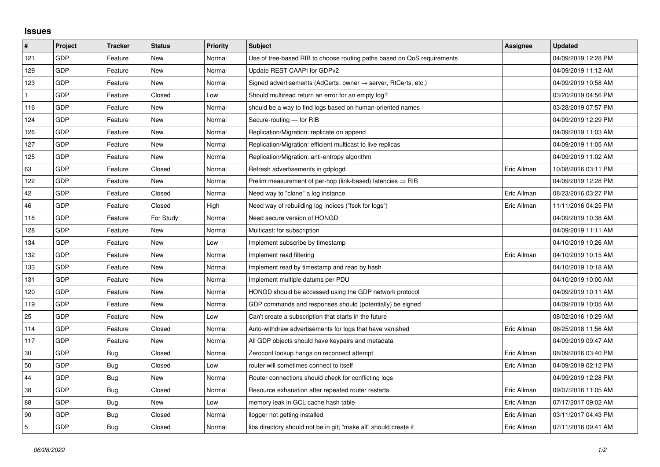## **Issues**

| #   | Project | <b>Tracker</b> | <b>Status</b> | <b>Priority</b> | <b>Subject</b>                                                             | Assignee    | <b>Updated</b>      |
|-----|---------|----------------|---------------|-----------------|----------------------------------------------------------------------------|-------------|---------------------|
| 121 | GDP     | Feature        | <b>New</b>    | Normal          | Use of tree-based RIB to choose routing paths based on QoS requirements    |             | 04/09/2019 12:28 PM |
| 129 | GDP     | Feature        | New           | Normal          | Update REST CAAPI for GDPv2                                                |             | 04/09/2019 11:12 AM |
| 123 | GDP     | Feature        | New           | Normal          | Signed advertisements (AdCerts: owner $\rightarrow$ server, RtCerts, etc.) |             | 04/09/2019 10:58 AM |
|     | GDP     | Feature        | Closed        | Low             | Should multiread return an error for an empty log?                         |             | 03/20/2019 04:56 PM |
| 116 | GDP     | Feature        | <b>New</b>    | Normal          | should be a way to find logs based on human-oriented names                 |             | 03/28/2019 07:57 PM |
| 124 | GDP     | Feature        | New           | Normal          | Secure-routing - for RIB                                                   |             | 04/09/2019 12:29 PM |
| 126 | GDP     | Feature        | New           | Normal          | Replication/Migration: replicate on append                                 |             | 04/09/2019 11:03 AM |
| 127 | GDP     | Feature        | New           | Normal          | Replication/Migration: efficient multicast to live replicas                |             | 04/09/2019 11:05 AM |
| 125 | GDP     | Feature        | New           | Normal          | Replication/Migration: anti-entropy algorithm                              |             | 04/09/2019 11:02 AM |
| 63  | GDP     | Feature        | Closed        | Normal          | Refresh advertisements in gdplogd                                          | Eric Allman | 10/08/2016 03:11 PM |
| 122 | GDP     | Feature        | <b>New</b>    | Normal          | Prelim measurement of per-hop (link-based) latencies $\Rightarrow$ RIB     |             | 04/09/2019 12:28 PM |
| 42  | GDP     | Feature        | Closed        | Normal          | Need way to "clone" a log instance                                         | Eric Allman | 08/23/2016 03:27 PM |
| 46  | GDP     | Feature        | Closed        | High            | Need way of rebuilding log indices ("fsck for logs")                       | Eric Allman | 11/11/2016 04:25 PM |
| 118 | GDP     | Feature        | For Study     | Normal          | Need secure version of HONGD                                               |             | 04/09/2019 10:38 AM |
| 128 | GDP     | Feature        | New           | Normal          | Multicast: for subscription                                                |             | 04/09/2019 11:11 AM |
| 134 | GDP     | Feature        | <b>New</b>    | Low             | Implement subscribe by timestamp                                           |             | 04/10/2019 10:26 AM |
| 132 | GDP     | Feature        | New           | Normal          | Implement read filtering                                                   | Eric Allman | 04/10/2019 10:15 AM |
| 133 | GDP     | Feature        | New           | Normal          | Implement read by timestamp and read by hash                               |             | 04/10/2019 10:18 AM |
| 131 | GDP     | Feature        | New           | Normal          | Implement multiple datums per PDU                                          |             | 04/10/2019 10:00 AM |
| 120 | GDP     | Feature        | New           | Normal          | HONGD should be accessed using the GDP network protocol                    |             | 04/09/2019 10:11 AM |
| 119 | GDP     | Feature        | New           | Normal          | GDP commands and responses should (potentially) be signed                  |             | 04/09/2019 10:05 AM |
| 25  | GDP     | Feature        | <b>New</b>    | Low             | Can't create a subscription that starts in the future                      |             | 08/02/2016 10:29 AM |
| 114 | GDP     | Feature        | Closed        | Normal          | Auto-withdraw advertisements for logs that have vanished                   | Eric Allman | 06/25/2018 11:56 AM |
| 117 | GDP     | Feature        | New           | Normal          | All GDP objects should have keypairs and metadata                          |             | 04/09/2019 09:47 AM |
| 30  | GDP     | Bug            | Closed        | Normal          | Zeroconf lookup hangs on reconnect attempt                                 | Eric Allman | 08/09/2016 03:40 PM |
| 50  | GDP     | Bug            | Closed        | Low             | router will sometimes connect to itself                                    | Eric Allman | 04/09/2019 02:12 PM |
| 44  | GDP     | Bug            | <b>New</b>    | Normal          | Router connections should check for conflicting logs                       |             | 04/09/2019 12:28 PM |
| 38  | GDP     | Bug            | Closed        | Normal          | Resource exhaustion after repeated router restarts                         | Eric Allman | 09/07/2016 11:05 AM |
| 88  | GDP     | Bug            | New           | Low             | memory leak in GCL cache hash table                                        | Eric Allman | 07/17/2017 09:02 AM |
| 90  | GDP     | Bug            | Closed        | Normal          | llogger not getting installed                                              | Eric Allman | 03/11/2017 04:43 PM |
| 5   | GDP     | Bug            | Closed        | Normal          | libs directory should not be in git; "make all" should create it           | Eric Allman | 07/11/2016 09:41 AM |